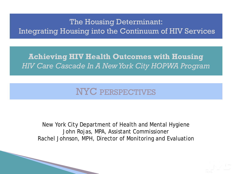#### The Housing Determinant: Integrating Housing into the Continuum of HIV Services

#### **Achieving HIV Health Outcomes with Housing**  *HIV Care Cascade In A New York City HOPWA Program*

## NYC PERSPECTIVES

New York City Department of Health and Mental Hygiene John Rojas, MPA, Assistant Commissioner Rachel Johnson, MPH, Director of Monitoring and Evaluation

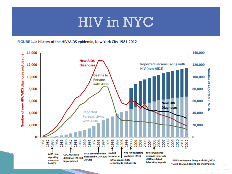# HIV in NYC





<u>i se</u>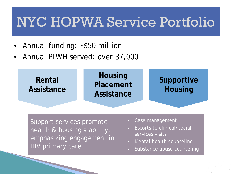# NYC HOPWA Service Portfolio

- Annual funding: ~\$50 million
- Annual PLWH served: over 37,000



Support services promote health & housing stability, emphasizing engagement in HIV primary care

- Case management
- Escorts to clinical/social services visits
- Mental health counseling
- Substance abuse counseling

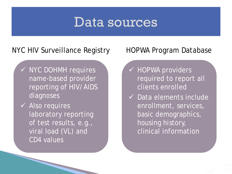## Data sources

#### NYC HIV Surveillance Registry HOPWA Program Database

- $\checkmark$  NYC DOHMH requires name-based provider reporting of HIV/AIDS diagnoses
- $\checkmark$  Also requires laboratory reporting of test results, e.g., viral load (VL) and CD4 values

- **√ HOPWA providers** required to report all clients enrolled
- $\checkmark$  Data elements include enrollment, services, basic demographics, housing history, clinical information

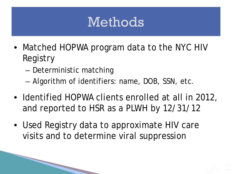# Methods

- Matched HOPWA program data to the NYC HIV Registry
	- Deterministic matching

- Algorithm of identifiers: name, DOB, SSN, etc.
- Identified HOPWA clients enrolled at all in 2012, and reported to HSR as a PLWH by 12/31/12
- Used Registry data to approximate HIV care visits and to determine viral suppression

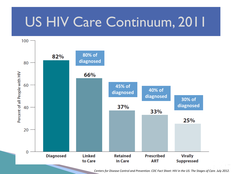# US HIV Care Continuum, 2011



*Centers for Disease Control and Prevention. CDC Fact Sheet: HIV in the US: The Stages of Care. July 2012.*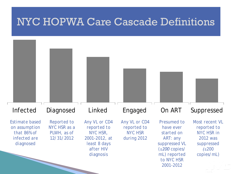## NYC HOPWA Care Cascade Definitions



Testi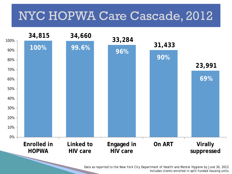## NYC HOPWA Care Cascade, 2012



*Data as reported to the New York City Department of Health and Mental Hygiene by June 30, 2013. Includes clients enrolled in split-funded housing units.*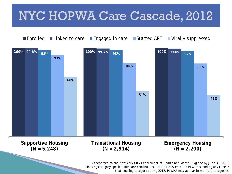## NYC HOPWA Care Cascade, 2012



*As reported to the New York City Department of Health and Mental Hygiene by June 30, 2013. Housing category-specific HIV care continuums include HASA-enrolled PLWHA spending any time in that housing category during 2012. PLWHA may appear in multiple categories.*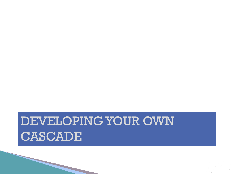

# DEVELOPING YOUR OWN **CASCADE**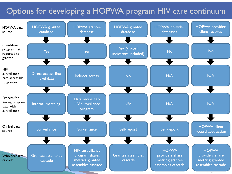### Options for developing a HOPWA program HIV care continuum

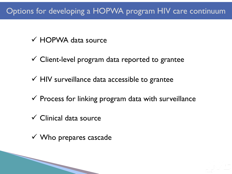## Options for developing a HOPWA program HIV care continuum

- HOPWA data source
- $\checkmark$  Client-level program data reported to grantee
- $\checkmark$  HIV surveillance data accessible to grantee
- $\checkmark$  Process for linking program data with surveillance
- $\checkmark$  Clinical data source

 $\checkmark$  Who prepares cascade

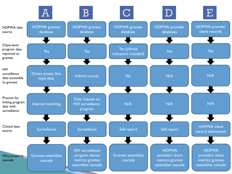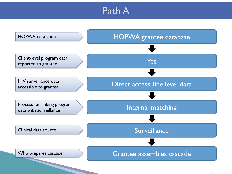## Path A

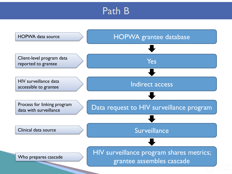## Path B

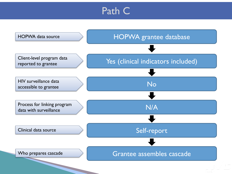## Path C

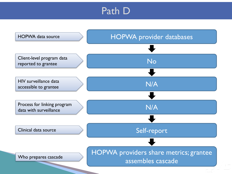## Path D

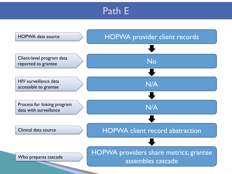## Path E